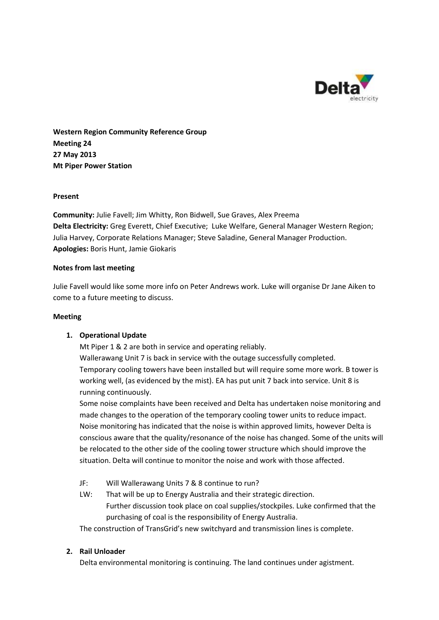

**Western Region Community Reference Group Meeting 24 27 May 2013 Mt Piper Power Station**

## **Present**

**Community:** Julie Favell; Jim Whitty, Ron Bidwell, Sue Graves, Alex Preema **Delta Electricity:** Greg Everett, Chief Executive; Luke Welfare, General Manager Western Region; Julia Harvey, Corporate Relations Manager; Steve Saladine, General Manager Production. **Apologies:** Boris Hunt, Jamie Giokaris

## **Notes from last meeting**

Julie Favell would like some more info on Peter Andrews work. Luke will organise Dr Jane Aiken to come to a future meeting to discuss.

### **Meeting**

# **1. Operational Update**

Mt Piper 1 & 2 are both in service and operating reliably. Wallerawang Unit 7 is back in service with the outage successfully completed. Temporary cooling towers have been installed but will require some more work. B tower is working well, (as evidenced by the mist). EA has put unit 7 back into service. Unit 8 is running continuously.

Some noise complaints have been received and Delta has undertaken noise monitoring and made changes to the operation of the temporary cooling tower units to reduce impact. Noise monitoring has indicated that the noise is within approved limits, however Delta is conscious aware that the quality/resonance of the noise has changed. Some of the units will be relocated to the other side of the cooling tower structure which should improve the situation. Delta will continue to monitor the noise and work with those affected.

- JF: Will Wallerawang Units 7 & 8 continue to run?
- LW: That will be up to Energy Australia and their strategic direction. Further discussion took place on coal supplies/stockpiles. Luke confirmed that the purchasing of coal is the responsibility of Energy Australia.

The construction of TransGrid's new switchyard and transmission lines is complete.

# **2. Rail Unloader**

Delta environmental monitoring is continuing. The land continues under agistment.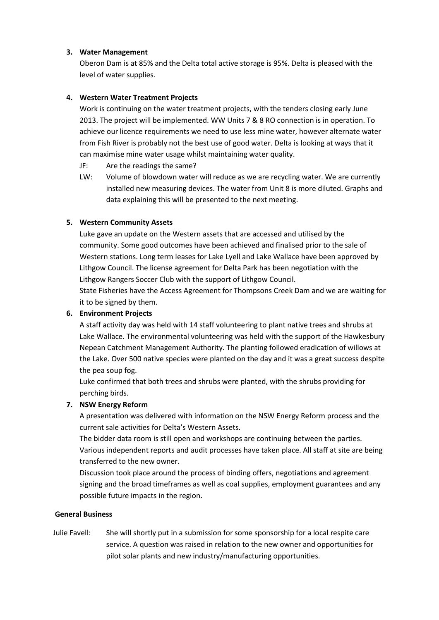# **3. Water Management**

Oberon Dam is at 85% and the Delta total active storage is 95%. Delta is pleased with the level of water supplies.

## **4. Western Water Treatment Projects**

Work is continuing on the water treatment projects, with the tenders closing early June 2013. The project will be implemented. WW Units 7 & 8 RO connection is in operation. To achieve our licence requirements we need to use less mine water, however alternate water from Fish River is probably not the best use of good water. Delta is looking at ways that it can maximise mine water usage whilst maintaining water quality.

- JF: Are the readings the same?
- LW: Volume of blowdown water will reduce as we are recycling water. We are currently installed new measuring devices. The water from Unit 8 is more diluted. Graphs and data explaining this will be presented to the next meeting.

### **5. Western Community Assets**

Luke gave an update on the Western assets that are accessed and utilised by the community. Some good outcomes have been achieved and finalised prior to the sale of Western stations. Long term leases for Lake Lyell and Lake Wallace have been approved by Lithgow Council. The license agreement for Delta Park has been negotiation with the Lithgow Rangers Soccer Club with the support of Lithgow Council.

State Fisheries have the Access Agreement for Thompsons Creek Dam and we are waiting for it to be signed by them.

### **6. Environment Projects**

A staff activity day was held with 14 staff volunteering to plant native trees and shrubs at Lake Wallace. The environmental volunteering was held with the support of the Hawkesbury Nepean Catchment Management Authority. The planting followed eradication of willows at the Lake. Over 500 native species were planted on the day and it was a great success despite the pea soup fog.

Luke confirmed that both trees and shrubs were planted, with the shrubs providing for perching birds.

### **7. NSW Energy Reform**

A presentation was delivered with information on the NSW Energy Reform process and the current sale activities for Delta's Western Assets.

The bidder data room is still open and workshops are continuing between the parties. Various independent reports and audit processes have taken place. All staff at site are being transferred to the new owner.

Discussion took place around the process of binding offers, negotiations and agreement signing and the broad timeframes as well as coal supplies, employment guarantees and any possible future impacts in the region.

### **General Business**

Julie Favell: She will shortly put in a submission for some sponsorship for a local respite care service. A question was raised in relation to the new owner and opportunities for pilot solar plants and new industry/manufacturing opportunities.